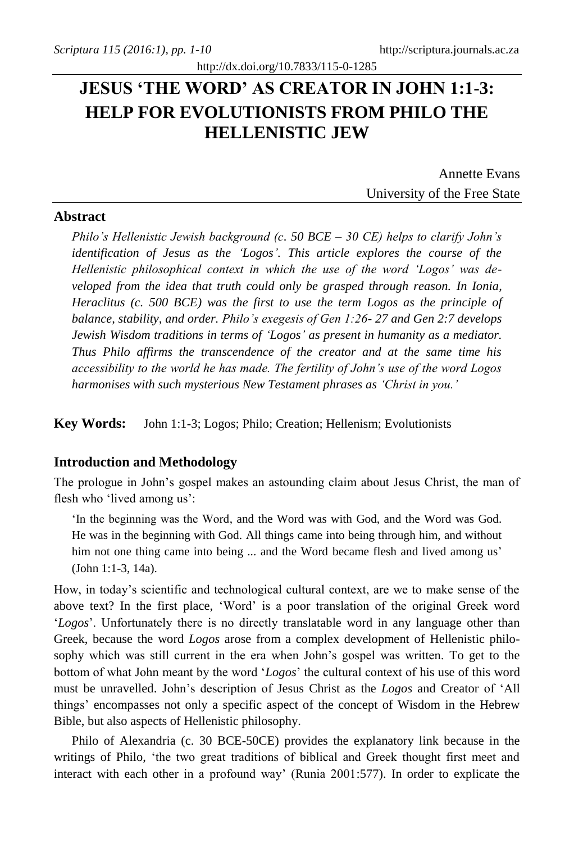# **JESUS 'THE WORD' AS CREATOR IN JOHN 1:1-3: HELP FOR EVOLUTIONISTS FROM PHILO THE HELLENISTIC JEW**

http://dx.doi.org/10.7833/115-0-1285

Annette Evans University of the Free State

### **Abstract**

*Philo's Hellenistic Jewish background (c. 50 BCE – 30 CE) helps to clarify John's identification of Jesus as the 'Logos'. This article explores the course of the Hellenistic philosophical context in which the use of the word 'Logos' was developed from the idea that truth could only be grasped through reason. In Ionia, Heraclitus (c. 500 BCE) was the first to use the term Logos as the principle of balance, stability, and order. Philo's exegesis of Gen 1:26- 27 and Gen 2:7 develops Jewish Wisdom traditions in terms of 'Logos' as present in humanity as a mediator. Thus Philo affirms the transcendence of the creator and at the same time his accessibility to the world he has made. The fertility of John's use of the word Logos harmonises with such mysterious New Testament phrases as 'Christ in you.'*

**Key Words:** John 1:1-3; Logos; Philo; Creation; Hellenism; Evolutionists

#### **Introduction and Methodology**

The prologue in John's gospel makes an astounding claim about Jesus Christ, the man of flesh who 'lived among us':

'In the beginning was the Word, and the Word was with God, and the Word was God. He was in the beginning with God. All things came into being through him, and without him not one thing came into being ... and the Word became flesh and lived among us' (John 1:1-3, 14a).

How, in today's scientific and technological cultural context, are we to make sense of the above text? In the first place, 'Word' is a poor translation of the original Greek word '*Logos*'. Unfortunately there is no directly translatable word in any language other than Greek, because the word *Logos* arose from a complex development of Hellenistic philosophy which was still current in the era when John's gospel was written. To get to the bottom of what John meant by the word '*Logos*' the cultural context of his use of this word must be unravelled. John's description of Jesus Christ as the *Logos* and Creator of 'All things' encompasses not only a specific aspect of the concept of Wisdom in the Hebrew Bible, but also aspects of Hellenistic philosophy.

Philo of Alexandria (c. 30 BCE-50CE) provides the explanatory link because in the writings of Philo, 'the two great traditions of biblical and Greek thought first meet and interact with each other in a profound way' (Runia 2001:577). In order to explicate the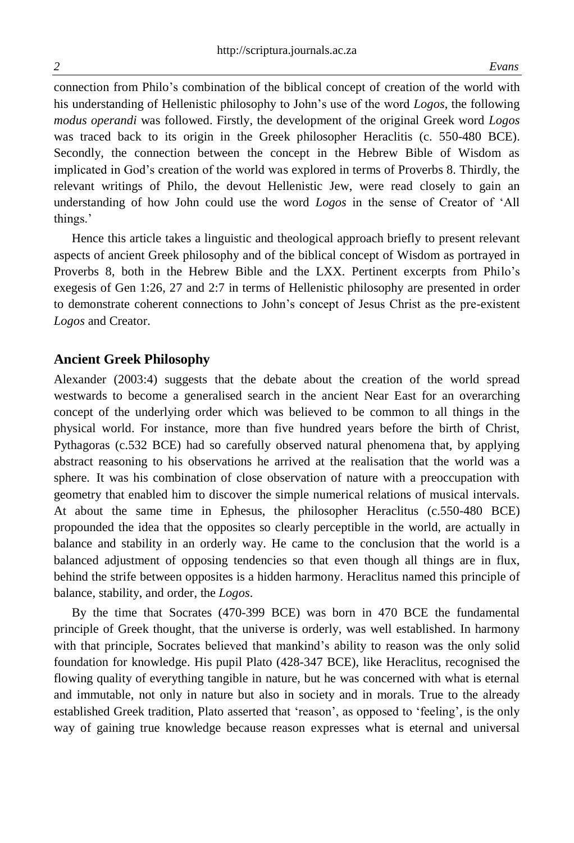connection from Philo's combination of the biblical concept of creation of the world with his understanding of Hellenistic philosophy to John's use of the word *Logos*, the following *modus operandi* was followed. Firstly, the development of the original Greek word *Logos* was traced back to its origin in the Greek philosopher Heraclitis (c. 550-480 BCE). Secondly, the connection between the concept in the Hebrew Bible of Wisdom as implicated in God's creation of the world was explored in terms of Proverbs 8. Thirdly, the relevant writings of Philo, the devout Hellenistic Jew, were read closely to gain an understanding of how John could use the word *Logos* in the sense of Creator of 'All things.'

Hence this article takes a linguistic and theological approach briefly to present relevant aspects of ancient Greek philosophy and of the biblical concept of Wisdom as portrayed in Proverbs 8, both in the Hebrew Bible and the LXX. Pertinent excerpts from Philo's exegesis of Gen 1:26, 27 and 2:7 in terms of Hellenistic philosophy are presented in order to demonstrate coherent connections to John's concept of Jesus Christ as the pre-existent *Logos* and Creator.

### **Ancient Greek Philosophy**

Alexander (2003:4) suggests that the debate about the creation of the world spread westwards to become a generalised search in the ancient Near East for an overarching concept of the underlying order which was believed to be common to all things in the physical world. For instance, more than five hundred years before the birth of Christ, Pythagoras (c.532 BCE) had so carefully observed natural phenomena that, by applying abstract reasoning to his observations he arrived at the realisation that the world was a sphere. It was his combination of close observation of nature with a preoccupation with geometry that enabled him to discover the simple numerical relations of musical intervals. At about the same time in Ephesus, the philosopher Heraclitus (c.550-480 BCE) propounded the idea that the opposites so clearly perceptible in the world, are actually in balance and stability in an orderly way. He came to the conclusion that the world is a balanced adjustment of opposing tendencies so that even though all things are in flux, behind the strife between opposites is a hidden harmony. Heraclitus named this principle of balance, stability, and order, the *Logos*.

By the time that Socrates (470-399 BCE) was born in 470 BCE the fundamental principle of Greek thought, that the universe is orderly, was well established. In harmony with that principle, Socrates believed that mankind's ability to reason was the only solid foundation for knowledge. His pupil Plato (428-347 BCE), like Heraclitus, recognised the flowing quality of everything tangible in nature, but he was concerned with what is eternal and immutable, not only in nature but also in society and in morals. True to the already established Greek tradition, Plato asserted that 'reason', as opposed to 'feeling', is the only way of gaining true knowledge because reason expresses what is eternal and universal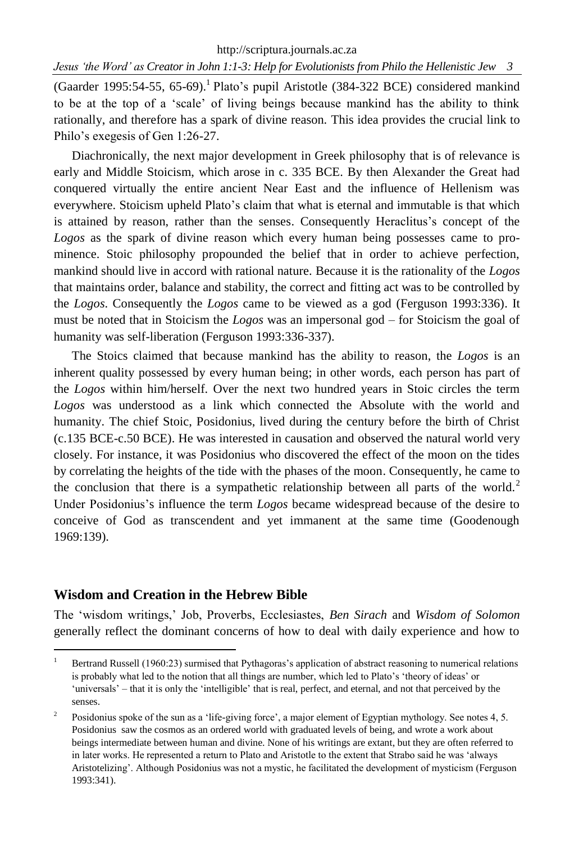http://scriptura.journals.ac.za

*Jesus 'the Word' as Creator in John 1:1-3: Help for Evolutionists from Philo the Hellenistic Jew 3*

(Gaarder 1995:54-55, 65-69).<sup>1</sup> Plato's pupil Aristotle (384-322 BCE) considered mankind to be at the top of a 'scale' of living beings because mankind has the ability to think rationally, and therefore has a spark of divine reason. This idea provides the crucial link to Philo's exegesis of Gen 1:26-27.

Diachronically, the next major development in Greek philosophy that is of relevance is early and Middle Stoicism, which arose in c. 335 BCE. By then Alexander the Great had conquered virtually the entire ancient Near East and the influence of Hellenism was everywhere. Stoicism upheld Plato's claim that what is eternal and immutable is that which is attained by reason, rather than the senses. Consequently Heraclitus's concept of the *Logos* as the spark of divine reason which every human being possesses came to prominence. Stoic philosophy propounded the belief that in order to achieve perfection, mankind should live in accord with rational nature. Because it is the rationality of the *Logos* that maintains order, balance and stability, the correct and fitting act was to be controlled by the *Logos*. Consequently the *Logos* came to be viewed as a god (Ferguson 1993:336). It must be noted that in Stoicism the *Logos* was an impersonal god – for Stoicism the goal of humanity was self-liberation (Ferguson 1993:336-337).

The Stoics claimed that because mankind has the ability to reason, the *Logos* is an inherent quality possessed by every human being; in other words, each person has part of the *Logos* within him/herself. Over the next two hundred years in Stoic circles the term *Logos* was understood as a link which connected the Absolute with the world and humanity. The chief Stoic, Posidonius, lived during the century before the birth of Christ (c.135 BCE-c.50 BCE). He was interested in causation and observed the natural world very closely. For instance, it was Posidonius who discovered the effect of the moon on the tides by correlating the heights of the tide with the phases of the moon. Consequently, he came to the conclusion that there is a sympathetic relationship between all parts of the world.<sup>2</sup> Under Posidonius's influence the term *Logos* became widespread because of the desire to conceive of God as transcendent and yet immanent at the same time (Goodenough 1969:139).

## **Wisdom and Creation in the Hebrew Bible**

 $\overline{a}$ 

The 'wisdom writings,' Job, Proverbs, Ecclesiastes, *Ben Sirach* and *Wisdom of Solomon* generally reflect the dominant concerns of how to deal with daily experience and how to

<sup>&</sup>lt;sup>1</sup> Bertrand Russell (1960:23) surmised that Pythagoras's application of abstract reasoning to numerical relations is probably what led to the notion that all things are number, which led to Plato's 'theory of ideas' or 'universals' – that it is only the 'intelligible' that is real, perfect, and eternal, and not that perceived by the senses.

 $\overline{2}$ Posidonius spoke of the sun as a 'life-giving force', a major element of Egyptian mythology. See notes 4, 5. Posidonius saw the cosmos as an ordered world with graduated levels of being, and wrote a work about beings intermediate between human and divine. None of his writings are extant, but they are often referred to in later works. He represented a return to Plato and Aristotle to the extent that Strabo said he was 'always Aristotelizing'. Although Posidonius was not a mystic, he facilitated the development of mysticism (Ferguson 1993:341).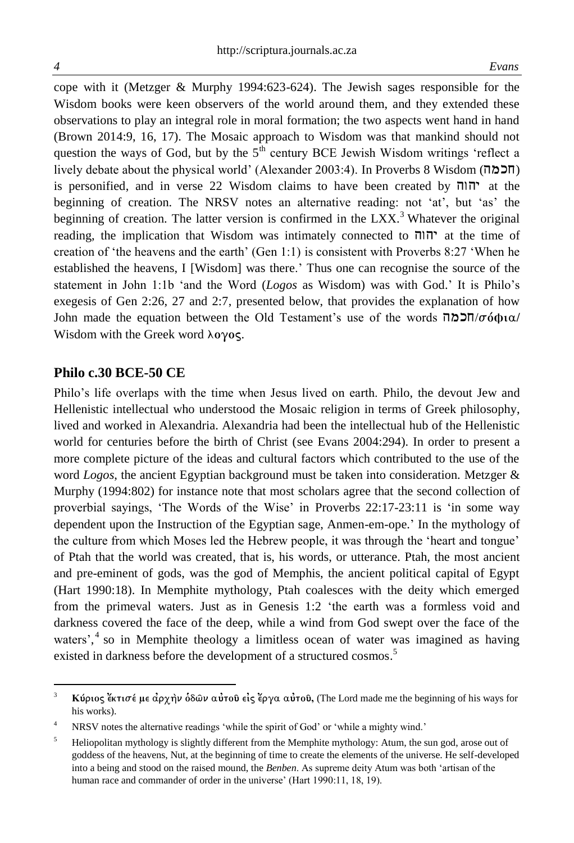cope with it (Metzger & Murphy 1994:623-624). The Jewish sages responsible for the Wisdom books were keen observers of the world around them, and they extended these observations to play an integral role in moral formation; the two aspects went hand in hand (Brown 2014:9, 16, 17). The Mosaic approach to Wisdom was that mankind should not question the ways of God, but by the  $5<sup>th</sup>$  century BCE Jewish Wisdom writings 'reflect a lively debate about the physical world' (Alexander 2003:4). In Proverbs 8 Wisdom (חכמה)  $i$ is personified, and in verse 22 Wisdom claims to have been created by  $\pi$ ו $\pi$  at the beginning of creation. The NRSV notes an alternative reading: not 'at', but 'as' the beginning of creation. The latter version is confirmed in the  $LXX$ <sup>3</sup>. Whatever the original reading, the implication that Wisdom was intimately connected to hvhy at the time of creation of 'the heavens and the earth' (Gen 1:1) is consistent with Proverbs 8:27 'When he established the heavens, I [Wisdom] was there.' Thus one can recognise the source of the statement in John 1:1b 'and the Word (*Logos* as Wisdom) was with God.' It is Philo's exegesis of Gen 2:26, 27 and 2:7, presented below, that provides the explanation of how John made the equation between the Old Testament's use of the words hmkH/**so<fia/** Wisdom with the Greek word λογος.

#### **Philo c.30 BCE-50 CE**

Philo's life overlaps with the time when Jesus lived on earth. Philo, the devout Jew and Hellenistic intellectual who understood the Mosaic religion in terms of Greek philosophy, lived and worked in Alexandria. Alexandria had been the intellectual hub of the Hellenistic world for centuries before the birth of Christ (see Evans 2004:294). In order to present a more complete picture of the ideas and cultural factors which contributed to the use of the word *Logos*, the ancient Egyptian background must be taken into consideration. Metzger & Murphy (1994:802) for instance note that most scholars agree that the second collection of proverbial sayings, 'The Words of the Wise' in Proverbs 22:17-23:11 is 'in some way dependent upon the Instruction of the Egyptian sage, Anmen-em-ope.' In the mythology of the culture from which Moses led the Hebrew people, it was through the 'heart and tongue' of Ptah that the world was created, that is, his words, or utterance. Ptah, the most ancient and pre-eminent of gods, was the god of Memphis, the ancient political capital of Egypt (Hart 1990:18). In Memphite mythology, Ptah coalesces with the deity which emerged from the primeval waters. Just as in Genesis 1:2 'the earth was a formless void and darkness covered the face of the deep, while a wind from God swept over the face of the waters',<sup>4</sup> so in Memphite theology a limitless ocean of water was imagined as having existed in darkness before the development of a structured cosmos.<sup>5</sup>

 $\overline{\mathbf{3}}$ **Κύριος** έκτισέ με άρχην όδων αύτου είς έργα αύτου, (The Lord made me the beginning of his ways for his works).

NRSV notes the alternative readings 'while the spirit of God' or 'while a mighty wind.'

<sup>&</sup>lt;sup>5</sup> Heliopolitan mythology is slightly different from the Memphite mythology: Atum, the sun god, arose out of goddess of the heavens, Nut, at the beginning of time to create the elements of the universe. He self-developed into a being and stood on the raised mound, the *Benben*. As supreme deity Atum was both 'artisan of the human race and commander of order in the universe' (Hart 1990:11, 18, 19).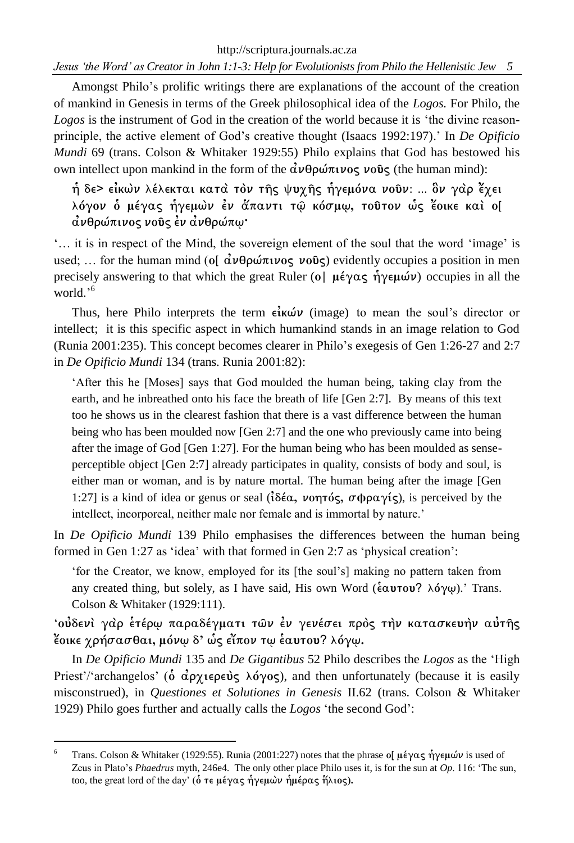http://scriptura.journals.ac.za *Jesus 'the Word' as Creator in John 1:1-3: Help for Evolutionists from Philo the Hellenistic Jew 5*

Amongst Philo's prolific writings there are explanations of the account of the creation of mankind in Genesis in terms of the Greek philosophical idea of the *Logos.* For Philo, the *Logos* is the instrument of God in the creation of the world because it is 'the divine reasonprinciple, the active element of God's creative thought (Isaacs 1992:197).' In *De Opificio Mundi* 69 (trans. Colson & Whitaker 1929:55) Philo explains that God has bestowed his own intellect upon mankind in the form of the  $\dot{\alpha}$ νθρώπινος νοῦς (the human mind):

**h** δε> εἰκων λέλεκται κατα τον τῆς ψυγῆς ἡγεμόνα νοῦν: ... ὃν γαρ ἔγει  $\lambda$ όγον ο μέγας ήγεμων εν άπαντι τω κόσμω, τούτον ως έοικε και ο[ *dνθρώπινος νο***υς έν ανθρώπω·** 

'… it is in respect of the Mind, the sovereign element of the soul that the word 'image' is used; ... for the human mind (of  $\vec{\alpha} \nu \theta \rho \vec{\omega} \pi \nu \rho \varsigma$ ) evidently occupies a position in men precisely answering to that which the great Ruler ( $o$ |  $\mu \in \gamma \alpha \varsigma$   $\eta \gamma \in \mu \omega \nu$ ) occupies in all the world.' 6

Thus, here Philo interprets the term  $\epsilon \in \mathbf{k}$  (image) to mean the soul's director or intellect; it is this specific aspect in which humankind stands in an image relation to God (Runia 2001:235). This concept becomes clearer in Philo's exegesis of Gen 1:26-27 and 2:7 in *De Opificio Mundi* 134 (trans. Runia 2001:82):

'After this he [Moses] says that God moulded the human being, taking clay from the earth, and he inbreathed onto his face the breath of life [Gen 2:7]. By means of this text too he shows us in the clearest fashion that there is a vast difference between the human being who has been moulded now [Gen 2:7] and the one who previously came into being after the image of God [Gen 1:27]. For the human being who has been moulded as senseperceptible object [Gen 2:7] already participates in quality, consists of body and soul, is either man or woman, and is by nature mortal. The human being after the image [Gen 1:27] is a kind of idea or genus or seal ( $i\delta \epsilon \alpha$ ,  $\nu$ ontos,  $\sigma \varphi \rho \alpha \gamma$  is perceived by the intellect, incorporeal, neither male nor female and is immortal by nature.'

In *De Opificio Mundi* 139 Philo emphasises the differences between the human being formed in Gen 1:27 as 'idea' with that formed in Gen 2:7 as 'physical creation':

'for the Creator, we know, employed for its [the soul's] making no pattern taken from any created thing, but solely, as I have said, His own Word ( $\epsilon \alpha$ **υτου**? λόγω).' Trans. Colson & Whitaker (1929:111).

' oύδενι γαρ έτέρω παραδέγματι των έν γενέσει προς την κατασκευην αύτης **έ**οικε χρήσασθαι, μόνω δ' ώς είπον τω έαυτου? λόγω.

In *De Opificio Mundi* 135 and *De Gigantibus* 52 Philo describes the *Logos* as the 'High Priest'/'archangelos' ( $\dot{\text{o}}$   $\dot{\alpha}$  $\rho \gamma$ **iepeure**  $\lambda$  $\dot{\alpha}$  $\gamma$  $\alpha$  $\varsigma$ ), and then unfortunately (because it is easily misconstrued), in *Questiones et Solutiones in Genesis* II.62 (trans. Colson & Whitaker 1929) Philo goes further and actually calls the *Logos* 'the second God':

 $\overline{a}$ 

<sup>&</sup>lt;sup>6</sup> Trans. Colson & Whitaker (1929:55). Runia (2001:227) notes that the phrase of μέγας ήγεμών is used of Zeus in Plato's *Phaedrus* myth, 246e4. The only other place Philo uses it, is for the sun at *Op*. 116: 'The sun, too, the great lord of the day' (δ τε μέγας ήγεμων ήμέρας ήλιος).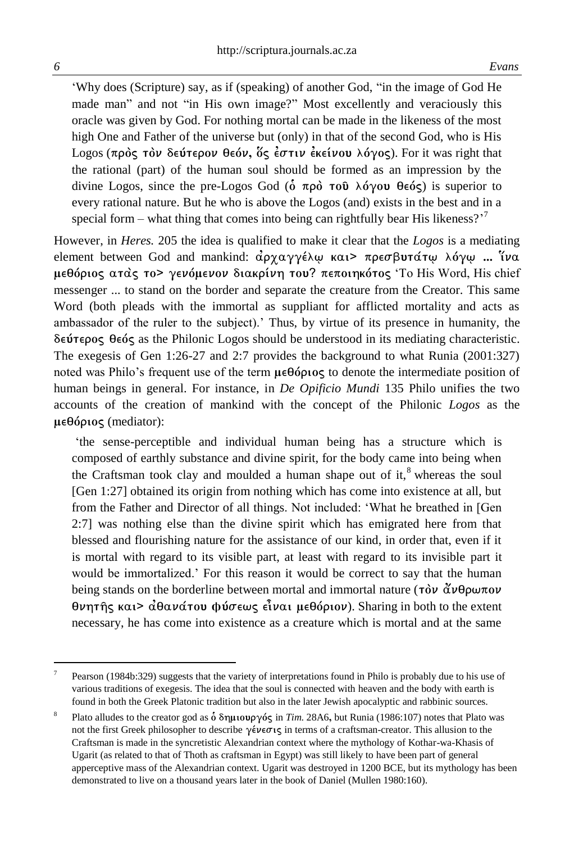1

'Why does (Scripture) say, as if (speaking) of another God, "in the image of God He made man" and not "in His own image?" Most excellently and veraciously this oracle was given by God. For nothing mortal can be made in the likeness of the most high One and Father of the universe but (only) in that of the second God, who is His Logos (πρὸς τὸν δεύτερον θεόν, <u>ὅς ἐστιν ἐκείνου λόγος</u>). For it was right that the rational (part) of the human soul should be formed as an impression by the divine Logos, since the pre-Logos God ( $\dot{\text{o}}$   $\pi \rho \text{o}$   $\tau \text{o} \hat{\text{o}}$   $\lambda \text{o} \gamma \text{o} \text{u}$   $\theta \epsilon \text{o} \zeta$ ) is superior to every rational nature. But he who is above the Logos (and) exists in the best and in a special form – what thing that comes into being can rightfully bear His likeness?<sup>77</sup>

However, in *Heres.* 205 the idea is qualified to make it clear that the *Logos* is a mediating **element between God and mankind: ἀρχαγγέλψ και> πρεσβυτάτψ λόγψ ... Ύνα**  $\mu \in \Theta$ όριος ατας το> γενόμενον διακρίνη του? πεποιηκότος 'To His Word, His chief messenger ... to stand on the border and separate the creature from the Creator. This same Word (both pleads with the immortal as suppliant for afflicted mortality and acts as ambassador of the ruler to the subject).' Thus, by virtue of its presence in humanity, the **deu<teroj qeo<j** as the Philonic Logos should be understood in its mediating characteristic. The exegesis of Gen 1:26-27 and 2:7 provides the background to what Runia (2001:327) noted was Philo's frequent use of the term  $\mu \in \Theta$  (properties) to denote the intermediate position of human beings in general. For instance, in *De Opificio Mundi* 135 Philo unifies the two accounts of the creation of mankind with the concept of the Philonic *Logos* as the μεθόριος (mediator):

'the sense-perceptible and individual human being has a structure which is composed of earthly substance and divine spirit, for the body came into being when the Craftsman took clay and moulded a human shape out of it, $\delta$  whereas the soul [Gen 1:27] obtained its origin from nothing which has come into existence at all, but from the Father and Director of all things. Not included: 'What he breathed in [Gen 2:7] was nothing else than the divine spirit which has emigrated here from that blessed and flourishing nature for the assistance of our kind, in order that, even if it is mortal with regard to its visible part, at least with regard to its invisible part it would be immortalized.' For this reason it would be correct to say that the human being stands on the borderline between mortal and immortal nature ( $\tau \delta \nu \tilde{\alpha} \nu \theta \rho \omega \pi \sigma \nu$ **θνητής και> αθανάτου φύσεως είναι μεθόριον). Sharing in both to the extent** necessary, he has come into existence as a creature which is mortal and at the same

<sup>7</sup> Pearson (1984b:329) suggests that the variety of interpretations found in Philo is probably due to his use of various traditions of exegesis. The idea that the soul is connected with heaven and the body with earth is found in both the Greek Platonic tradition but also in the later Jewish apocalyptic and rabbinic sources.

<sup>8</sup> Plato alludes to the creator god as ο δημιουργός in *Tim.* 28A6, but Runia (1986:107) notes that Plato was not the first Greek philosopher to describe  $\gamma \in \sigma_1$  in terms of a craftsman-creator. This allusion to the Craftsman is made in the syncretistic Alexandrian context where the mythology of Kothar-wa-Khasis of Ugarit (as related to that of Thoth as craftsman in Egypt) was still likely to have been part of general apperceptive mass of the Alexandrian context. Ugarit was destroyed in 1200 BCE, but its mythology has been demonstrated to live on a thousand years later in the book of Daniel (Mullen 1980:160).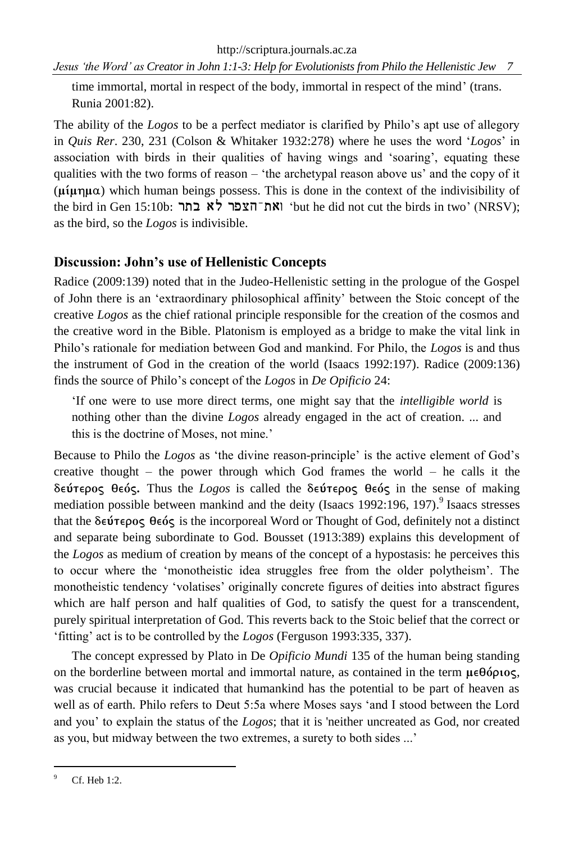*Jesus 'the Word' as Creator in John 1:1-3: Help for Evolutionists from Philo the Hellenistic Jew 7*

time immortal, mortal in respect of the body, immortal in respect of the mind' (trans. Runia 2001:82).

The ability of the *Logos* to be a perfect mediator is clarified by Philo's apt use of allegory in *Quis Rer*. 230, 231 (Colson & Whitaker 1932:278) where he uses the word '*Logos*' in association with birds in their qualities of having wings and 'soaring', equating these qualities with the two forms of reason – 'the archetypal reason above us' and the copy of it  $(\mu\mu\eta\mu\alpha)$  which human beings possess. This is done in the context of the indivisibility of the bird in Gen 15:10b: ואת־הצפר לא בתר 'but he did not cut the birds in two' (NRSV); as the bird, so the *Logos* is indivisible.

## **Discussion: John's use of Hellenistic Concepts**

Radice (2009:139) noted that in the Judeo-Hellenistic setting in the prologue of the Gospel of John there is an 'extraordinary philosophical affinity' between the Stoic concept of the creative *Logos* as the chief rational principle responsible for the creation of the cosmos and the creative word in the Bible. Platonism is employed as a bridge to make the vital link in Philo's rationale for mediation between God and mankind. For Philo, the *Logos* is and thus the instrument of God in the creation of the world (Isaacs 1992:197). Radice (2009:136) finds the source of Philo's concept of the *Logos* in *De Opificio* 24:

'If one were to use more direct terms, one might say that the *intelligible world* is nothing other than the divine *Logos* already engaged in the act of creation. ... and this is the doctrine of Moses, not mine.'

Because to Philo the *Logos* as 'the divine reason-principle' is the active element of God's creative thought – the power through which God frames the world – he calls it the **δεύτερος θεός.** Thus the *Logos* is called the δεύτερος θεός in the sense of making mediation possible between mankind and the deity (Isaacs 1992:196, 197).<sup>9</sup> Isaacs stresses that the  $\delta \epsilon \hat{\nu} \tau \epsilon \rho o \varsigma$  be  $\delta \varsigma$  is the incorporeal Word or Thought of God, definitely not a distinct and separate being subordinate to God. Bousset (1913:389) explains this development of the *Logos* as medium of creation by means of the concept of a hypostasis: he perceives this to occur where the 'monotheistic idea struggles free from the older polytheism'. The monotheistic tendency 'volatises' originally concrete figures of deities into abstract figures which are half person and half qualities of God, to satisfy the quest for a transcendent, purely spiritual interpretation of God. This reverts back to the Stoic belief that the correct or 'fitting' act is to be controlled by the *Logos* (Ferguson 1993:335, 337).

The concept expressed by Plato in De *Opificio Mundi* 135 of the human being standing on the borderline between mortal and immortal nature, as contained in the term  $\mu \in \theta$  optos, was crucial because it indicated that humankind has the potential to be part of heaven as well as of earth. Philo refers to Deut 5:5a where Moses says 'and I stood between the Lord and you' to explain the status of the *Logos*; that it is 'neither uncreated as God, nor created as you, but midway between the two extremes, a surety to both sides ...'

 $\overline{a}$ 

<sup>&</sup>lt;sup>9</sup> Cf. Heb 1:2.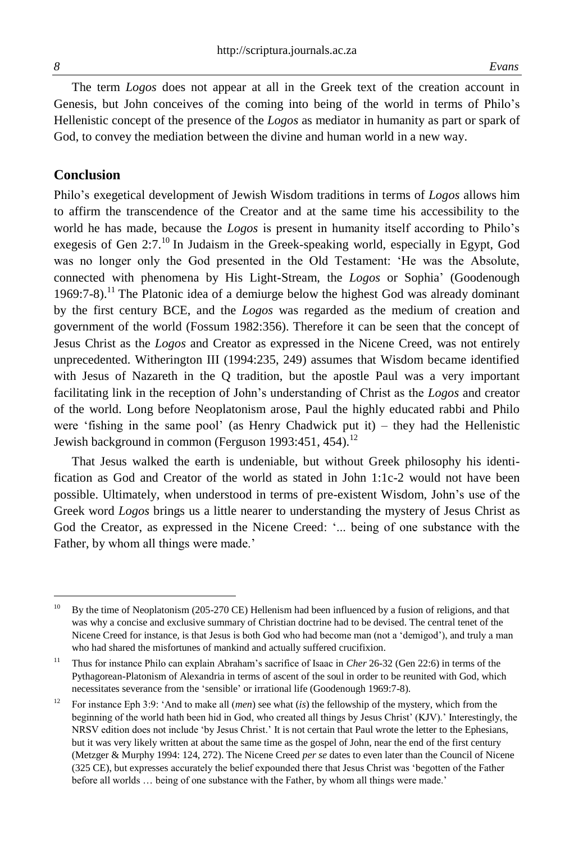$\overline{a}$ 

The term *Logos* does not appear at all in the Greek text of the creation account in Genesis, but John conceives of the coming into being of the world in terms of Philo's Hellenistic concept of the presence of the *Logos* as mediator in humanity as part or spark of God, to convey the mediation between the divine and human world in a new way.

#### **Conclusion**

Philo's exegetical development of Jewish Wisdom traditions in terms of *Logos* allows him to affirm the transcendence of the Creator and at the same time his accessibility to the world he has made, because the *Logos* is present in humanity itself according to Philo's exegesis of Gen 2:7.<sup>10</sup> In Judaism in the Greek-speaking world, especially in Egypt, God was no longer only the God presented in the Old Testament: 'He was the Absolute, connected with phenomena by His Light-Stream, the *Logos* or Sophia' (Goodenough 1969:7-8).<sup>11</sup> The Platonic idea of a demiurge below the highest God was already dominant by the first century BCE, and the *Logos* was regarded as the medium of creation and government of the world (Fossum 1982:356). Therefore it can be seen that the concept of Jesus Christ as the *Logos* and Creator as expressed in the Nicene Creed, was not entirely unprecedented. Witherington III (1994:235, 249) assumes that Wisdom became identified with Jesus of Nazareth in the Q tradition, but the apostle Paul was a very important facilitating link in the reception of John's understanding of Christ as the *Logos* and creator of the world. Long before Neoplatonism arose, Paul the highly educated rabbi and Philo were 'fishing in the same pool' (as Henry Chadwick put it) – they had the Hellenistic Jewish background in common (Ferguson 1993:451, 454).<sup>12</sup>

That Jesus walked the earth is undeniable, but without Greek philosophy his identification as God and Creator of the world as stated in John 1:1c-2 would not have been possible. Ultimately, when understood in terms of pre-existent Wisdom, John's use of the Greek word *Logos* brings us a little nearer to understanding the mystery of Jesus Christ as God the Creator, as expressed in the Nicene Creed: '... being of one substance with the Father, by whom all things were made.'

<sup>&</sup>lt;sup>10</sup> By the time of Neoplatonism (205-270 CE) Hellenism had been influenced by a fusion of religions, and that was why a concise and exclusive summary of Christian doctrine had to be devised. The central tenet of the Nicene Creed for instance, is that Jesus is both God who had become man (not a 'demigod'), and truly a man who had shared the misfortunes of mankind and actually suffered crucifixion.

<sup>&</sup>lt;sup>11</sup> Thus for instance Philo can explain Abraham's sacrifice of Isaac in *Cher* 26-32 (Gen 22:6) in terms of the Pythagorean-Platonism of Alexandria in terms of ascent of the soul in order to be reunited with God, which necessitates severance from the 'sensible' or irrational life (Goodenough 1969:7-8).

<sup>&</sup>lt;sup>12</sup> For instance Eph 3:9: 'And to make all *(men)* see what *(is)* the fellowship of the mystery, which from the beginning of the world hath been hid in God, who created all things by Jesus Christ' (KJV).' Interestingly, the NRSV edition does not include 'by Jesus Christ.' It is not certain that Paul wrote the letter to the Ephesians, but it was very likely written at about the same time as the gospel of John, near the end of the first century (Metzger & Murphy 1994: 124, 272). The Nicene Creed *per se* dates to even later than the Council of Nicene (325 CE), but expresses accurately the belief expounded there that Jesus Christ was 'begotten of the Father before all worlds … being of one substance with the Father, by whom all things were made.'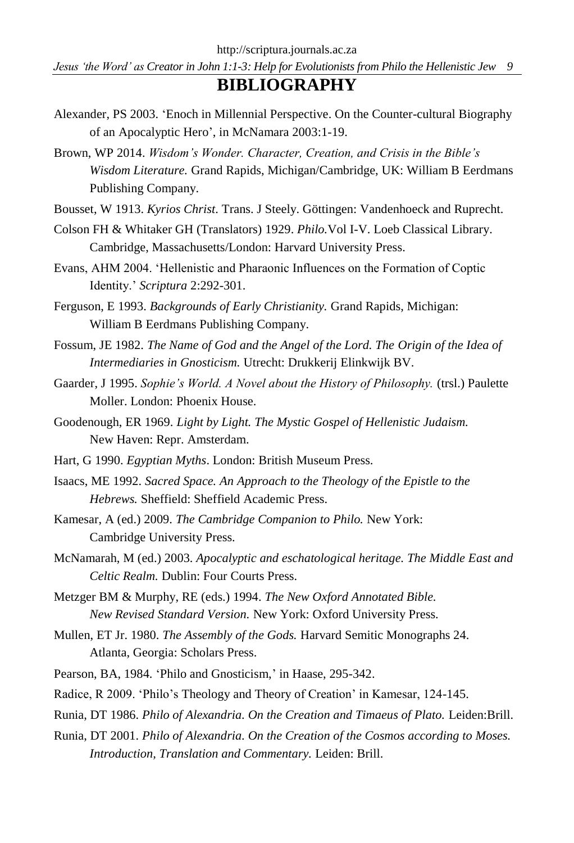*Jesus 'the Word' as Creator in John 1:1-3: Help for Evolutionists from Philo the Hellenistic Jew 9*

## **BIBLIOGRAPHY**

- Alexander, PS 2003. 'Enoch in Millennial Perspective. On the Counter-cultural Biography of an Apocalyptic Hero', in McNamara 2003:1-19.
- Brown, WP 2014. *Wisdom's Wonder. Character, Creation, and Crisis in the Bible's Wisdom Literature.* Grand Rapids, Michigan/Cambridge, UK: William B Eerdmans Publishing Company.
- Bousset, W 1913. *Kyrios Christ*. Trans. J Steely. Göttingen: Vandenhoeck and Ruprecht.
- Colson FH & Whitaker GH (Translators) 1929. *Philo.*Vol I-V. Loeb Classical Library. Cambridge, Massachusetts/London: Harvard University Press.
- Evans, AHM 2004. 'Hellenistic and Pharaonic Influences on the Formation of Coptic Identity.' *Scriptura* 2:292-301.
- Ferguson, E 1993. *Backgrounds of Early Christianity.* Grand Rapids, Michigan: William B Eerdmans Publishing Company.
- Fossum, JE 1982. *The Name of God and the Angel of the Lord. The Origin of the Idea of Intermediaries in Gnosticism.* Utrecht: Drukkerij Elinkwijk BV.
- Gaarder, J 1995. *Sophie's World. A Novel about the History of Philosophy.* (trsl.) Paulette Moller. London: Phoenix House.
- Goodenough, ER 1969. *Light by Light. The Mystic Gospel of Hellenistic Judaism.* New Haven: Repr. Amsterdam.
- Hart, G 1990. *Egyptian Myths*. London: British Museum Press.
- Isaacs, ME 1992. *Sacred Space. An Approach to the Theology of the Epistle to the Hebrews.* Sheffield: Sheffield Academic Press.
- Kamesar, A (ed.) 2009. *The Cambridge Companion to Philo.* New York: Cambridge University Press.
- McNamarah, M (ed.) 2003. *Apocalyptic and eschatological heritage. The Middle East and Celtic Realm.* Dublin: Four Courts Press.
- Metzger BM & Murphy, RE (eds.) 1994. *The New Oxford Annotated Bible. New Revised Standard Version.* New York: Oxford University Press.
- Mullen, ET Jr. 1980. *The Assembly of the Gods.* Harvard Semitic Monographs 24. Atlanta, Georgia: Scholars Press.
- Pearson, BA, 1984. 'Philo and Gnosticism,' in Haase, 295-342.
- Radice, R 2009. 'Philo's Theology and Theory of Creation' in Kamesar, 124-145.
- Runia, DT 1986. *Philo of Alexandria. On the Creation and Timaeus of Plato.* Leiden:Brill.
- Runia, DT 2001. *Philo of Alexandria. On the Creation of the Cosmos according to Moses. Introduction, Translation and Commentary.* Leiden: Brill.